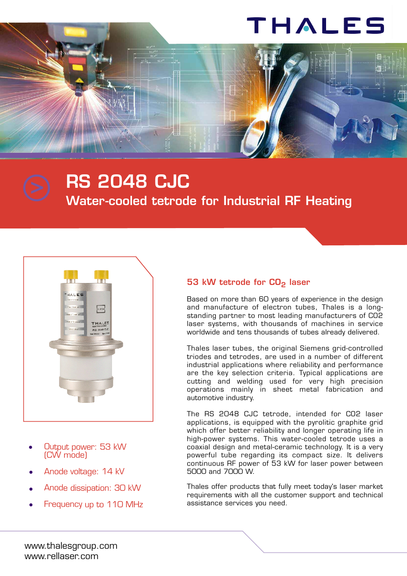# THALES



**Water-cooled tetrode for Industrial RF Heating**



- Output power: 53 kW (CW mode) •
- Anode voltage: 14 kV •
- Anode dissipation: 30 kW •
- Frequency up to 110 MHz •

### **53 kW tetrode for CO2 laser**

Based on more than 60 years of experience in the design and manufacture of electron tubes, Thales is a longstanding partner to most leading manufacturers of CO2 laser systems, with thousands of machines in service worldwide and tens thousands of tubes already delivered.

Thales laser tubes, the original Siemens grid-controlled triodes and tetrodes, are used in a number of different industrial applications where reliability and performance are the key selection criteria. Typical applications are cutting and welding used for very high precision operations mainly in sheet metal fabrication and automotive industry.

The RS 2048 CJC tetrode, intended for CO2 laser applications, is equipped with the pyrolitic graphite grid which offer better reliability and longer operating life in high-power systems. This water-cooled tetrode uses a coaxial design and metal-ceramic technology. It is a very powerful tube regarding its compact size. It delivers continuous RF power of 53 kW for laser power between 5000 and 7000 W.

Thales offer products that fully meet today's laser market requirements with all the customer support and technical assistance services you need.